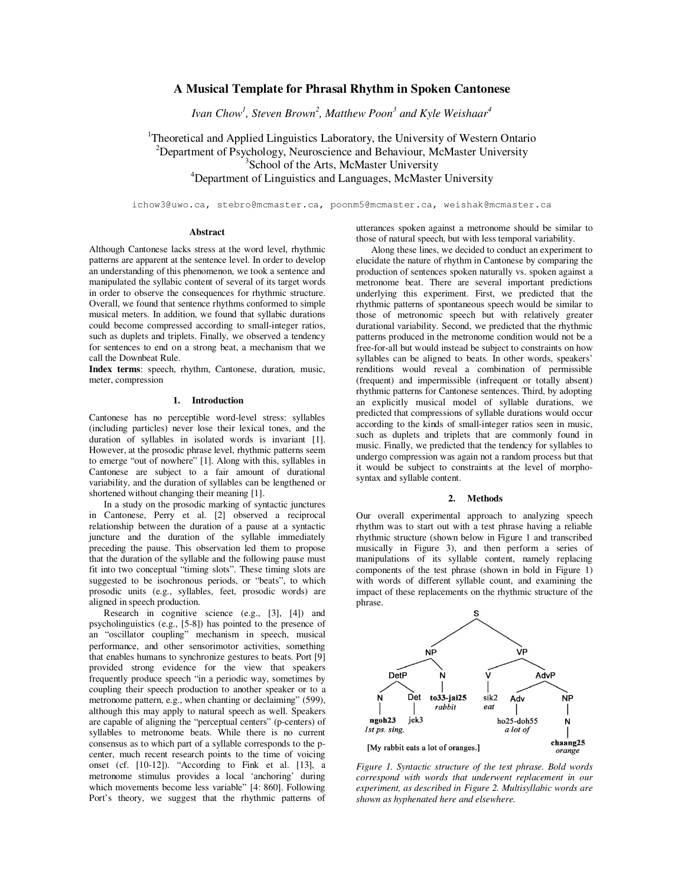# **A Musical Template for Phrasal Rhythm in Spoken Cantonese**

*Ivan Chow<sup>1</sup> , Steven Brown<sup>2</sup> , Matthew Poon<sup>3</sup> and Kyle Weishaar<sup>4</sup>*

# <sup>1</sup>Theoretical and Applied Linguistics Laboratory, the University of Western Ontario <sup>2</sup>Department of Psychology, Neuroscience and Behaviour, McMaster University <sup>3</sup>School of the Arts, McMaster University <sup>4</sup>Department of Linguistics and Languages, McMaster University

ichow3@uwo.ca, stebro@mcmaster.ca, poonm5@mcmaster.ca, weishak@mcmaster.ca

## **Abstract**

Although Cantonese lacks stress at the word level, rhythmic patterns are apparent at the sentence level. In order to develop an understanding of this phenomenon, we took a sentence and manipulated the syllabic content of several of its target words in order to observe the consequences for rhythmic structure. Overall, we found that sentence rhythms conformed to simple musical meters. In addition, we found that syllabic durations could become compressed according to small-integer ratios, such as duplets and triplets. Finally, we observed a tendency for sentences to end on a strong beat, a mechanism that we call the Downbeat Rule.

**Index terms**: speech, rhythm, Cantonese, duration, music, meter, compression

## **1. Introduction**

Cantonese has no perceptible word-level stress: syllables (including particles) never lose their lexical tones, and the duration of syllables in isolated words is invariant [1]. However, at the prosodic phrase level, rhythmic patterns seem to emerge "out of nowhere" [1]. Along with this, syllables in Cantonese are subject to a fair amount of durational variability, and the duration of syllables can be lengthened or shortened without changing their meaning [1].

In a study on the prosodic marking of syntactic junctures in Cantonese, Perry et al. [2] observed a reciprocal relationship between the duration of a pause at a syntactic juncture and the duration of the syllable immediately preceding the pause. This observation led them to propose that the duration of the syllable and the following pause must fit into two conceptual "timing slots". These timing slots are suggested to be isochronous periods, or "beats", to which prosodic units (e.g., syllables, feet, prosodic words) are aligned in speech production.

Research in cognitive science (e.g., [3], [4]) and psycholinguistics (e.g., [5-8]) has pointed to the presence of an "oscillator coupling" mechanism in speech, musical performance, and other sensorimotor activities, something that enables humans to synchronize gestures to beats. Port [9] provided strong evidence for the view that speakers frequently produce speech "in a periodic way, sometimes by coupling their speech production to another speaker or to a metronome pattern, e.g., when chanting or declaiming" (599), although this may apply to natural speech as well. Speakers are capable of aligning the "perceptual centers" (p-centers) of syllables to metronome beats. While there is no current consensus as to which part of a syllable corresponds to the pcenter, much recent research points to the time of voicing onset (cf. [10-12]). "According to Fink et al. [13], a metronome stimulus provides a local 'anchoring' during which movements become less variable" [4: 860]. Following Port's theory, we suggest that the rhythmic patterns of

utterances spoken against a metronome should be similar to those of natural speech, but with less temporal variability.

Along these lines, we decided to conduct an experiment to elucidate the nature of rhythm in Cantonese by comparing the production of sentences spoken naturally vs. spoken against a metronome beat. There are several important predictions underlying this experiment. First, we predicted that the rhythmic patterns of spontaneous speech would be similar to those of metronomic speech but with relatively greater durational variability. Second, we predicted that the rhythmic patterns produced in the metronome condition would not be a free-for-all but would instead be subject to constraints on how syllables can be aligned to beats. In other words, speakers' renditions would reveal a combination of permissible (frequent) and impermissible (infrequent or totally absent) rhythmic patterns for Cantonese sentences. Third, by adopting an explicitly musical model of syllable durations, we predicted that compressions of syllable durations would occur according to the kinds of small-integer ratios seen in music, such as duplets and triplets that are commonly found in music. Finally, we predicted that the tendency for syllables to undergo compression was again not a random process but that it would be subject to constraints at the level of morphosyntax and syllable content.

# **2. Methods**

Our overall experimental approach to analyzing speech rhythm was to start out with a test phrase having a reliable rhythmic structure (shown below in Figure 1 and transcribed musically in Figure 3), and then perform a series of manipulations of its syllable content, namely replacing components of the test phrase (shown in bold in Figure 1) with words of different syllable count, and examining the impact of these replacements on the rhythmic structure of the phrase.



*Figure 1. Syntactic structure of the test phrase. Bold words correspond with words that underwent replacement in our experiment, as described in Figure 2. Multisyllabic words are shown as hyphenated here and elsewhere.*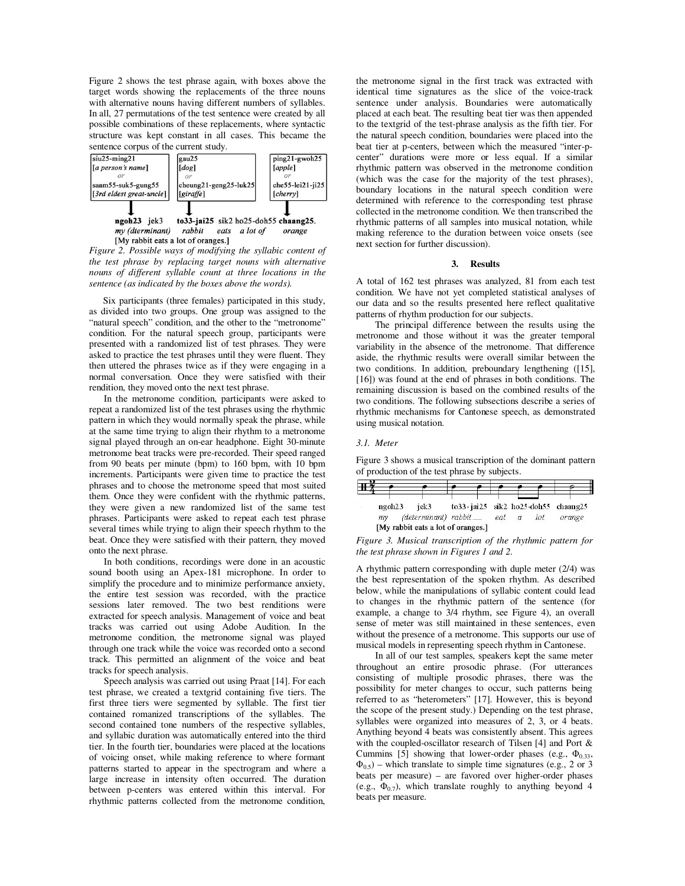Figure 2 shows the test phrase again, with boxes above the target words showing the replacements of the three nouns with alternative nouns having different numbers of syllables. In all, 27 permutations of the test sentence were created by all possible combinations of these replacements, where syntactic structure was kept constant in all cases. This became the sentence corpus of the current study.



*Figure 2. Possible ways of modifying the syllabic content of the test phrase by replacing target nouns with alternative nouns of different syllable count at three locations in the sentence (as indicated by the boxes above the words).* 

Six participants (three females) participated in this study, as divided into two groups. One group was assigned to the "natural speech" condition, and the other to the "metronome" condition. For the natural speech group, participants were presented with a randomized list of test phrases. They were asked to practice the test phrases until they were fluent. They then uttered the phrases twice as if they were engaging in a normal conversation. Once they were satisfied with their rendition, they moved onto the next test phrase.

In the metronome condition, participants were asked to repeat a randomized list of the test phrases using the rhythmic pattern in which they would normally speak the phrase, while at the same time trying to align their rhythm to a metronome signal played through an on-ear headphone. Eight 30-minute metronome beat tracks were pre-recorded. Their speed ranged from 90 beats per minute (bpm) to 160 bpm, with 10 bpm increments. Participants were given time to practice the test phrases and to choose the metronome speed that most suited them. Once they were confident with the rhythmic patterns, they were given a new randomized list of the same test phrases. Participants were asked to repeat each test phrase several times while trying to align their speech rhythm to the beat. Once they were satisfied with their pattern, they moved onto the next phrase.

In both conditions, recordings were done in an acoustic sound booth using an Apex-181 microphone. In order to simplify the procedure and to minimize performance anxiety, the entire test session was recorded, with the practice sessions later removed. The two best renditions were extracted for speech analysis. Management of voice and beat tracks was carried out using Adobe Audition. In the metronome condition, the metronome signal was played through one track while the voice was recorded onto a second track. This permitted an alignment of the voice and beat tracks for speech analysis.

Speech analysis was carried out using Praat [14]. For each test phrase, we created a textgrid containing five tiers. The first three tiers were segmented by syllable. The first tier contained romanized transcriptions of the syllables. The second contained tone numbers of the respective syllables, and syllabic duration was automatically entered into the third tier. In the fourth tier, boundaries were placed at the locations of voicing onset, while making reference to where formant patterns started to appear in the spectrogram and where a large increase in intensity often occurred. The duration between p-centers was entered within this interval. For rhythmic patterns collected from the metronome condition,

the metronome signal in the first track was extracted with identical time signatures as the slice of the voice-track sentence under analysis. Boundaries were automatically placed at each beat. The resulting beat tier was then appended to the textgrid of the test-phrase analysis as the fifth tier. For the natural speech condition, boundaries were placed into the beat tier at p-centers, between which the measured "inter-pcenter" durations were more or less equal. If a similar rhythmic pattern was observed in the metronome condition (which was the case for the majority of the test phrases), boundary locations in the natural speech condition were determined with reference to the corresponding test phrase collected in the metronome condition. We then transcribed the rhythmic patterns of all samples into musical notation, while making reference to the duration between voice onsets (see next section for further discussion).

#### **3. Results**

A total of 162 test phrases was analyzed, 81 from each test condition. We have not yet completed statistical analyses of our data and so the results presented here reflect qualitative patterns of rhythm production for our subjects.

The principal difference between the results using the metronome and those without it was the greater temporal variability in the absence of the metronome. That difference aside, the rhythmic results were overall similar between the two conditions. In addition, preboundary lengthening ([15], [16]) was found at the end of phrases in both conditions. The remaining discussion is based on the combined results of the two conditions. The following subsections describe a series of rhythmic mechanisms for Cantonese speech, as demonstrated using musical notation.

# *3.1. Meter*

Figure 3 shows a musical transcription of the dominant pattern of production of the test phrase by subjects.



*Figure 3. Musical transcription of the rhythmic pattern for the test phrase shown in Figures 1 and 2.*

A rhythmic pattern corresponding with duple meter (2/4) was the best representation of the spoken rhythm. As described below, while the manipulations of syllabic content could lead to changes in the rhythmic pattern of the sentence (for example, a change to 3/4 rhythm, see Figure 4), an overall sense of meter was still maintained in these sentences, even without the presence of a metronome. This supports our use of musical models in representing speech rhythm in Cantonese.

In all of our test samples, speakers kept the same meter throughout an entire prosodic phrase. (For utterances consisting of multiple prosodic phrases, there was the possibility for meter changes to occur, such patterns being referred to as "heterometers" [17]. However, this is beyond the scope of the present study.) Depending on the test phrase, syllables were organized into measures of 2, 3, or 4 beats. Anything beyond 4 beats was consistently absent. This agrees with the coupled-oscillator research of Tilsen [4] and Port & Cummins [5] showing that lower-order phases (e.g.,  $\Phi_{0.33}$ ,  $\Phi_{0.5}$ ) – which translate to simple time signatures (e.g., 2 or 3 beats per measure) – are favored over higher-order phases (e.g.,  $\Phi_{0.7}$ ), which translate roughly to anything beyond 4 beats per measure.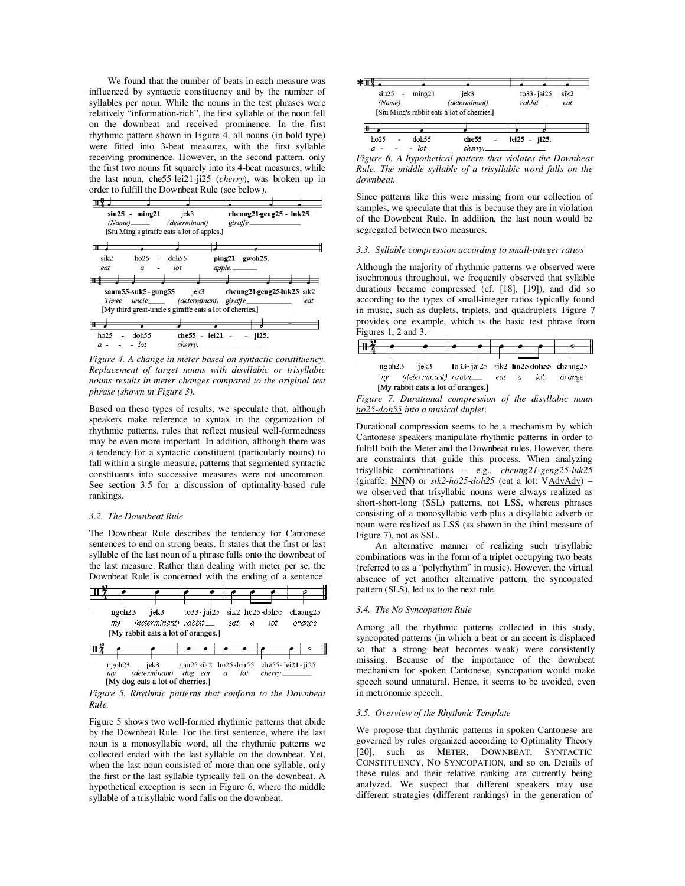We found that the number of beats in each measure was influenced by syntactic constituency and by the number of syllables per noun. While the nouns in the test phrases were relatively "information-rich", the first syllable of the noun fell on the downbeat and received prominence. In the first rhythmic pattern shown in Figure 4, all nouns (in bold type) were fitted into 3-beat measures, with the first syllable receiving prominence. However, in the second pattern, only the first two nouns fit squarely into its 4-beat measures, while the last noun, che55-lei21-ji25 (*cherry*), was broken up in order to fulfill the Downbeat Rule (see below).

|             |                          | $siu25 - ming21$ jek3<br>(Name) (determinant)<br>[Siu Ming's giraffe eats a lot of apples.] | cheung21-geng25 - luk25<br>giraffe.                                                           |     |
|-------------|--------------------------|---------------------------------------------------------------------------------------------|-----------------------------------------------------------------------------------------------|-----|
| 7           |                          |                                                                                             |                                                                                               |     |
| sik2<br>eat | ho25<br>$\boldsymbol{a}$ | doh55<br>$\overline{a}$<br>$_{lot}$                                                         | $ping21 - gwoh25.$<br>apple.                                                                  |     |
|             |                          |                                                                                             | saam55-suk5-gung55 jek3 cheung21-geng25-luk25 sik2                                            |     |
|             |                          |                                                                                             | Three uncle (determinant) giraffe<br>[My third great-uncle's giraffe eats a lot of cherries.] | eat |

*Figure 4. A change in meter based on syntactic constituency. Replacement of target nouns with disyllabic or trisyllabic nouns results in meter changes compared to the original test phrase (shown in Figure 3).* 

Based on these types of results, we speculate that, although speakers make reference to syntax in the organization of rhythmic patterns, rules that reflect musical well-formedness may be even more important. In addition, although there was a tendency for a syntactic constituent (particularly nouns) to fall within a single measure, patterns that segmented syntactic constituents into successive measures were not uncommon. See section 3.5 for a discussion of optimality-based rule rankings.

### *3.2. The Downbeat Rule*

The Downbeat Rule describes the tendency for Cantonese sentences to end on strong beats. It states that the first or last syllable of the last noun of a phrase falls onto the downbeat of the last measure. Rather than dealing with meter per se, the Downbeat Rule is concerned with the ending of a sentence.



*Figure 5. Rhythmic patterns that conform to the Downbeat Rule.* 

Figure 5 shows two well-formed rhythmic patterns that abide by the Downbeat Rule. For the first sentence, where the last noun is a monosyllabic word, all the rhythmic patterns we collected ended with the last syllable on the downbeat. Yet, when the last noun consisted of more than one syllable, only the first or the last syllable typically fell on the downbeat. A hypothetical exception is seen in Figure 6, where the middle syllable of a trisyllabic word falls on the downbeat.



*Figure 6. A hypothetical pattern that violates the Downbeat Rule. The middle syllable of a trisyllabic word falls on the downbeat.*

Since patterns like this were missing from our collection of samples, we speculate that this is because they are in violation of the Downbeat Rule. In addition, the last noun would be segregated between two measures.

#### *3.3. Syllable compression according to small-integer ratios*

Although the majority of rhythmic patterns we observed were isochronous throughout, we frequently observed that syllable durations became compressed (cf. [18], [19]), and did so according to the types of small-integer ratios typically found in music, such as duplets, triplets, and quadruplets. Figure 7 provides one example, which is the basic test phrase from Figures 1, 2 and 3.



*Figure 7. Durational compression of the disyllabic noun ho25-doh55 into a musical duplet*.

Durational compression seems to be a mechanism by which Cantonese speakers manipulate rhythmic patterns in order to fulfill both the Meter and the Downbeat rules. However, there are constraints that guide this process. When analyzing trisyllabic combinations – e.g., *cheung21-geng25-luk25* (giraffe:  $NNN$ ) or  $sik2-ho25-doh25$  (eat a lot:  $V\rightarrow MvA$ we observed that trisyllabic nouns were always realized as short-short-long (SSL) patterns, not LSS, whereas phrases consisting of a monosyllabic verb plus a disyllabic adverb or noun were realized as LSS (as shown in the third measure of Figure 7), not as SSL.

An alternative manner of realizing such trisyllabic combinations was in the form of a triplet occupying two beats (referred to as a "polyrhythm" in music). However, the virtual absence of yet another alternative pattern, the syncopated pattern (SLS), led us to the next rule.

## *3.4. The No Syncopation Rule*

Among all the rhythmic patterns collected in this study, syncopated patterns (in which a beat or an accent is displaced so that a strong beat becomes weak) were consistently missing. Because of the importance of the downbeat mechanism for spoken Cantonese, syncopation would make speech sound unnatural. Hence, it seems to be avoided, even in metronomic speech.

## *3.5. Overview of the Rhythmic Template*

We propose that rhythmic patterns in spoken Cantonese are governed by rules organized according to Optimality Theory [20], such as METER, DOWNBEAT, SYNTACTIC CONSTITUENCY, NO SYNCOPATION, and so on. Details of these rules and their relative ranking are currently being analyzed. We suspect that different speakers may use different strategies (different rankings) in the generation of